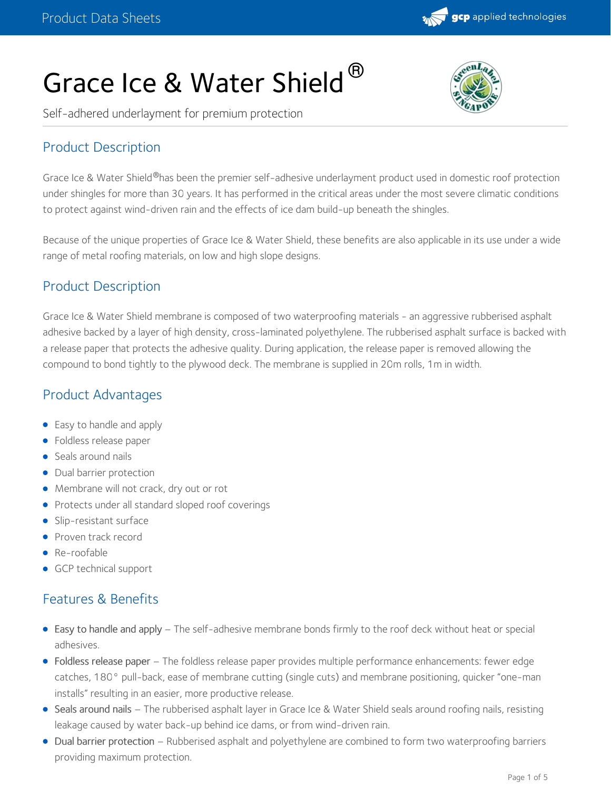

# Grace Ice & Water Shield  $^{\circledR}$



Self-adhered underlayment for premium protection

# Product Description

Grace Ice & Water Shield®has been the premier self-adhesive underlayment product used in domestic roof protection under shingles for more than 30 years. It has performed in the critical areas under the most severe climatic conditions to protect against wind-driven rain and the effects of ice dam build-up beneath the shingles.

Because of the unique properties of Grace Ice & Water Shield, these benefits are also applicable in its use under a wide range of metal roofing materials, on low and high slope designs.

## Product Description

Grace Ice & Water Shield membrane is composed of two waterproofing materials - an aggressive rubberised asphalt adhesive backed by a layer of high density, cross-laminated polyethylene. The rubberised asphalt surface is backed with a release paper that protects the adhesive quality. During application, the release paper is removed allowing the compound to bond tightly to the plywood deck. The membrane is supplied in 20m rolls, 1m in width.

# Product Advantages

- Easy to handle and apply
- **•** Foldless release paper
- Seals around nails
- Dual barrier protection
- Membrane will not crack, dry out or rot
- Protects under all standard sloped roof coverings
- Slip-resistant surface
- Proven track record
- Re-roofable
- GCP technical support

# Features & Benefits

- Easy to handle and apply The self-adhesive membrane bonds firmly to the roof deck without heat or special adhesives.
- Foldless release paper The foldless release paper provides multiple performance enhancements: fewer edge catches, 180° pull-back, ease of membrane cutting (single cuts) and membrane positioning, quicker "one-man installs" resulting in an easier, more productive release.
- Seals around nails The rubberised asphalt layer in Grace Ice & Water Shield seals around roofing nails, resisting leakage caused by water back-up behind ice dams, or from wind-driven rain.
- Dual barrier protection Rubberised asphalt and polyethylene are combined to form two waterproofing barriers providing maximum protection.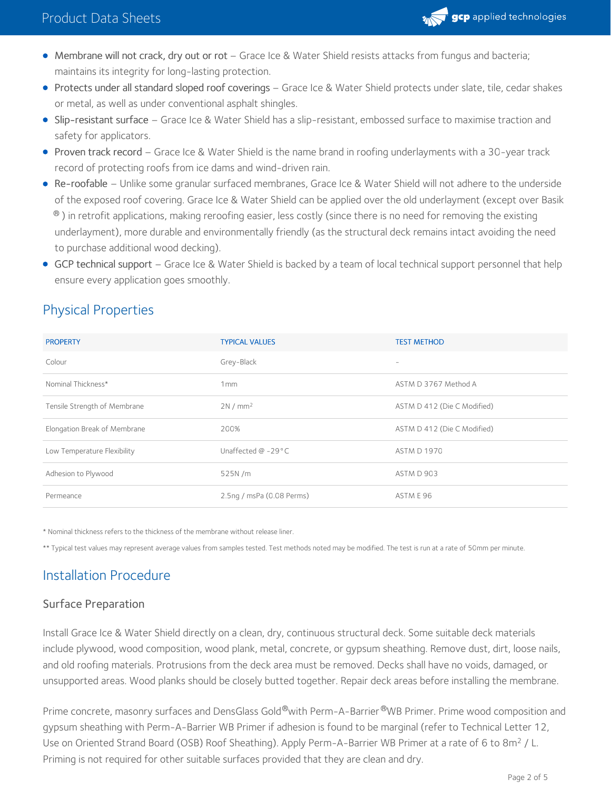

- Membrane will not crack, dry out or rot Grace Ice & Water Shield resists attacks from fungus and bacteria; maintains its integrity for long-lasting protection.
- Protects under all standard sloped roof coverings Grace Ice & Water Shield protects under slate, tile, cedar shakes or metal, as well as under conventional asphalt shingles.
- Slip-resistant surface Grace Ice & Water Shield has a slip-resistant, embossed surface to maximise traction and safety for applicators.
- Proven track record Grace Ice & Water Shield is the name brand in roofing underlayments with a 30-year track record of protecting roofs from ice dams and wind-driven rain.
- Re-roofable Unlike some granular surfaced membranes, Grace Ice & Water Shield will not adhere to the underside of the exposed roof covering. Grace Ice & Water Shield can be applied over the old underlayment (except over Basik  $^\circledast$  ) in retrofit applications, making reroofing easier, less costly (since there is no need for removing the existing underlayment), more durable and environmentally friendly (as the structural deck remains intact avoiding the need to purchase additional wood decking).
- GCP technical support Grace Ice & Water Shield is backed by a team of local technical support personnel that help ensure every application goes smoothly.

# Physical Properties

| <b>PROPERTY</b>              | <b>TYPICAL VALUES</b>     | <b>TEST METHOD</b>          |
|------------------------------|---------------------------|-----------------------------|
| Colour                       | Grey-Black                | $\overline{\phantom{a}}$    |
| Nominal Thickness*           | 1 <sub>mm</sub>           | ASTM D 3767 Method A        |
| Tensile Strength of Membrane | 2N/mm <sup>2</sup>        | ASTM D 412 (Die C Modified) |
| Elongation Break of Membrane | 200%                      | ASTM D 412 (Die C Modified) |
| Low Temperature Flexibility  | Unaffected $@ -29°C$      | <b>ASTM D 1970</b>          |
| Adhesion to Plywood          | 525N/m                    | ASTM D 903                  |
| Permeance                    | 2.5ng / msPa (0.08 Perms) | ASTM E 96                   |

\* Nominal thickness refers to the thickness of the membrane without release liner.

\*\* Typical test values may represent average values from samples tested. Test methods noted may be modified. The test is run at a rate of 50mm per minute.

# Installation Procedure

#### Surface Preparation

Install Grace Ice & Water Shield directly on a clean, dry, continuous structural deck. Some suitable deck materials include plywood, wood composition, wood plank, metal, concrete, or gypsum sheathing. Remove dust, dirt, loose nails, and old roofing materials. Protrusions from the deck area must be removed. Decks shall have no voids, damaged, or unsupported areas. Wood planks should be closely butted together. Repair deck areas before installing the membrane.

Prime concrete, masonry surfaces and DensGlass Gold®with Perm-A-Barrier®WB Primer. Prime wood composition and gypsum sheathing with Perm-A-Barrier WB Primer if adhesion is found to be marginal (refer to Technical Letter 12, Use on Oriented Strand Board (OSB) Roof Sheathing). Apply Perm-A-Barrier WB Primer at a rate of 6 to 8m<sup>2</sup> / L.<br>Priming is not required for other suitable surfaces provided that they are clean and dry.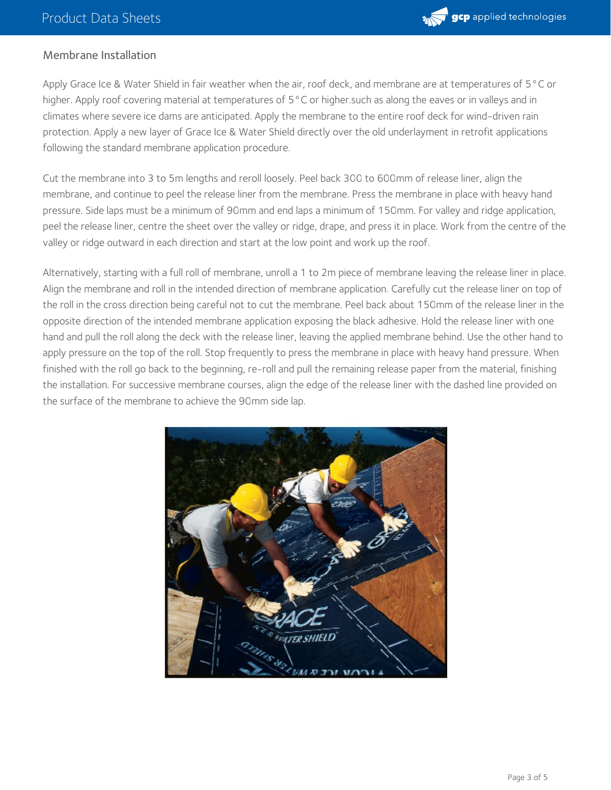

#### Membrane Installation

Apply Grace Ice & Water Shield in fair weather when the air, roof deck, and membrane are at temperatures of 5°C or higher. Apply roof covering material at temperatures of 5°C or higher.such as along the eaves or in valleys and in climates where severe ice dams are anticipated. Apply the membrane to the entire roof deck for wind-driven rain protection. Apply a new layer of Grace Ice & Water Shield directly over the old underlayment in retrofit applications following the standard membrane application procedure.

Cut the membrane into 3 to 5m lengths and reroll loosely. Peel back 300 to 600mm of release liner, align the membrane, and continue to peel the release liner from the membrane. Press the membrane in place with heavy hand pressure. Side laps must be a minimum of 90mm and end laps a minimum of 150mm. For valley and ridge application, peel the release liner, centre the sheet over the valley or ridge, drape, and press it in place. Work from the centre of the valley or ridge outward in each direction and start at the low point and work up the roof.

Alternatively, starting with a full roll of membrane, unroll a 1 to 2m piece of membrane leaving the release liner in place. Align the membrane and roll in the intended direction of membrane application. Carefully cut the release liner on top of the roll in the cross direction being careful not to cut the membrane. Peel back about 150mm of the release liner in the opposite direction of the intended membrane application exposing the black adhesive. Hold the release liner with one hand and pull the roll along the deck with the release liner, leaving the applied membrane behind. Use the other hand to apply pressure on the top of the roll. Stop frequently to press the membrane in place with heavy hand pressure. When finished with the roll go back to the beginning, re-roll and pull the remaining release paper from the material, finishing the installation. For successive membrane courses, align the edge of the release liner with the dashed line provided on the surface of the membrane to achieve the 90mm side lap.

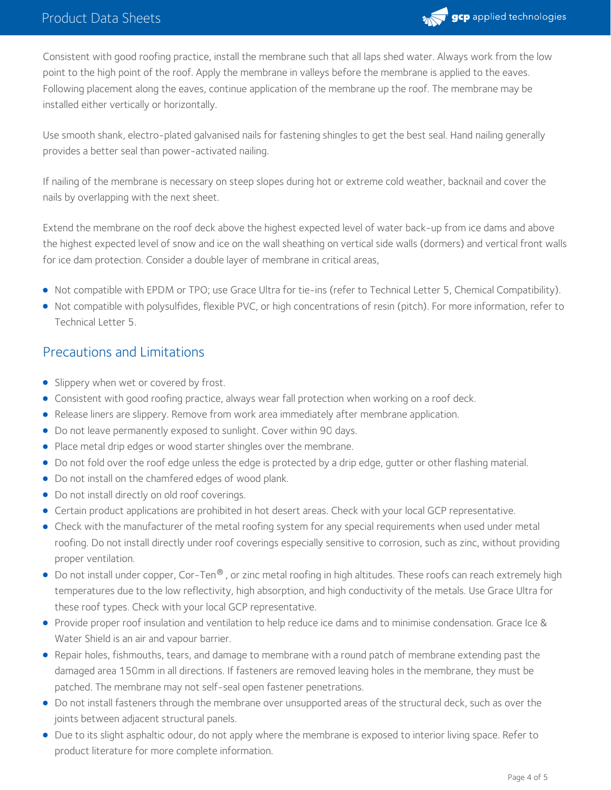

Consistent with good roofing practice, install the membrane such that all laps shed water. Always work from the low point to the high point of the roof. Apply the membrane in valleys before the membrane is applied to the eaves. Following placement along the eaves, continue application of the membrane up the roof. The membrane may be installed either vertically or horizontally.

Use smooth shank, electro-plated galvanised nails for fastening shingles to get the best seal. Hand nailing generally provides a better seal than power-activated nailing.

If nailing of the membrane is necessary on steep slopes during hot or extreme cold weather, backnail and cover the nails by overlapping with the next sheet.

Extend the membrane on the roof deck above the highest expected level of water back-up from ice dams and above the highest expected level of snow and ice on the wall sheathing on vertical side walls (dormers) and vertical front walls for ice dam protection. Consider a double layer of membrane in critical areas,

- Not compatible with EPDM or TPO; use Grace Ultra for tie-ins (refer to Technical Letter 5, Chemical Compatibility).
- Not compatible with polysulfides, flexible PVC, or high concentrations of resin (pitch). For more information, refer to Technical Letter 5.

## Precautions and Limitations

- Slippery when wet or covered by frost.
- Consistent with good roofing practice, always wear fall protection when working on a roof deck.
- Release liners are slippery. Remove from work area immediately after membrane application.
- Do not leave permanently exposed to sunlight. Cover within 90 days.
- Place metal drip edges or wood starter shingles over the membrane.
- Do not fold over the roof edge unless the edge is protected by a drip edge, gutter or other flashing material.
- Do not install on the chamfered edges of wood plank.
- Do not install directly on old roof coverings.
- Certain product applications are prohibited in hot desert areas. Check with your local GCP representative.
- Check with the manufacturer of the metal roofing system for any special requirements when used under metal roofing. Do not install directly under roof coverings especially sensitive to corrosion, such as zinc, without providing proper ventilation.
- Do not install under copper, Cor-Ten® , or zinc metal roofing in high altitudes. These roofs can reach extremely high temperatures due to the low reflectivity, high absorption, and high conductivity of the metals. Use Grace Ultra for these roof types. Check with your local GCP representative.
- Provide proper roof insulation and ventilation to help reduce ice dams and to minimise condensation. Grace Ice & Water Shield is an air and vapour barrier.
- Repair holes, fishmouths, tears, and damage to membrane with a round patch of membrane extending past the damaged area 150mm in all directions. If fasteners are removed leaving holes in the membrane, they must be patched. The membrane may not self-seal open fastener penetrations.
- Do not install fasteners through the membrane over unsupported areas of the structural deck, such as over the joints between adjacent structural panels.
- Due to its slight asphaltic odour, do not apply where the membrane is exposed to interior living space. Refer to product literature for more complete information.